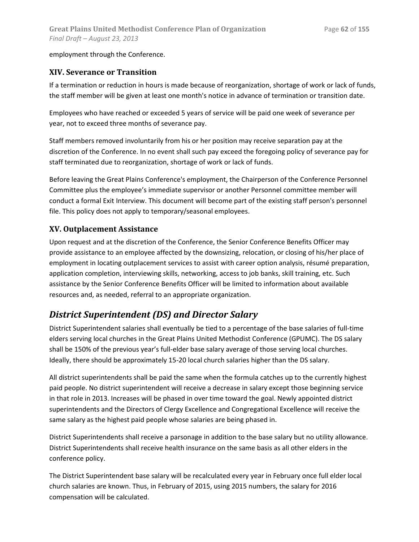employment through the Conference.

#### **XIV. Severance or Transition**

If a termination or reduction in hours is made because of reorganization, shortage of work or lack of funds, the staff member will be given at least one month's notice in advance of termination or transition date.

Employees who have reached or exceeded 5 years of service will be paid one week of severance per year, not to exceed three months of severance pay.

Staff members removed involuntarily from his or her position may receive separation pay at the discretion of the Conference. In no event shall such pay exceed the foregoing policy of severance pay for staff terminated due to reorganization, shortage of work or lack of funds.

Before leaving the Great Plains Conference's employment, the Chairperson of the Conference Personnel Committee plus the employee's immediate supervisor or another Personnel committee member will conduct a formal Exit Interview. This document will become part of the existing staff person's personnel file. This policy does not apply to temporary/seasonal employees.

#### **XV. Outplacement Assistance**

Upon request and at the discretion of the Conference, the Senior Conference Benefits Officer may provide assistance to an employee affected by the downsizing, relocation, or closing of his/her place of employment in locating outplacement services to assist with career option analysis, résumé preparation, application completion, interviewing skills, networking, access to job banks, skill training, etc. Such assistance by the Senior Conference Benefits Officer will be limited to information about available resources and, as needed, referral to an appropriate organization.

### *District Superintendent (DS) and Director Salary*

District Superintendent salaries shall eventually be tied to a percentage of the base salaries of full-time elders serving local churches in the Great Plains United Methodist Conference (GPUMC). The DS salary shall be 150% of the previous year's full-elder base salary average of those serving local churches. Ideally, there should be approximately 15-20 local church salaries higher than the DS salary.

All district superintendents shall be paid the same when the formula catches up to the currently highest paid people. No district superintendent will receive a decrease in salary except those beginning service in that role in 2013. Increases will be phased in over time toward the goal. Newly appointed district superintendents and the Directors of Clergy Excellence and Congregational Excellence will receive the same salary as the highest paid people whose salaries are being phased in.

District Superintendents shall receive a parsonage in addition to the base salary but no utility allowance. District Superintendents shall receive health insurance on the same basis as all other elders in the conference policy.

The District Superintendent base salary will be recalculated every year in February once full elder local church salaries are known. Thus, in February of 2015, using 2015 numbers, the salary for 2016 compensation will be calculated.